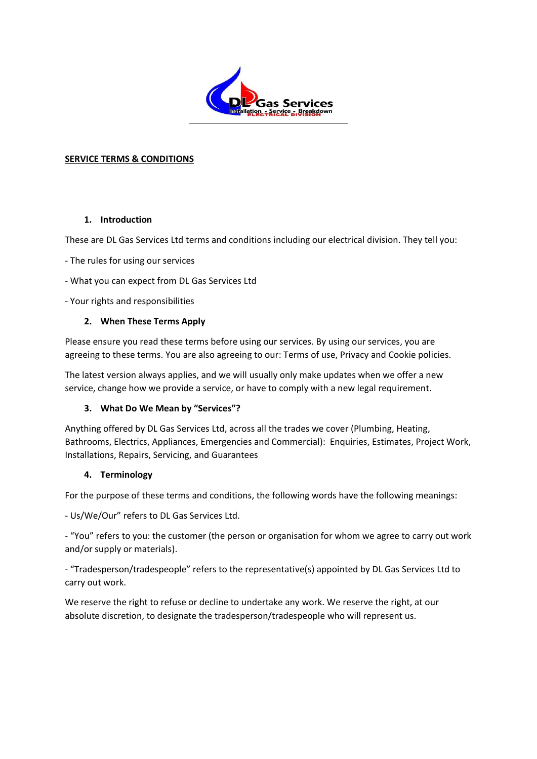

#### **SERVICE TERMS & CONDITIONS**

#### **1. Introduction**

These are DL Gas Services Ltd terms and conditions including our electrical division. They tell you:

- The rules for using our services
- What you can expect from DL Gas Services Ltd
- Your rights and responsibilities

#### **2. When These Terms Apply**

Please ensure you read these terms before using our services. By using our services, you are agreeing to these terms. You are also agreeing to our: Terms of use, Privacy and Cookie policies.

The latest version always applies, and we will usually only make updates when we offer a new service, change how we provide a service, or have to comply with a new legal requirement.

### **3. What Do We Mean by "Services"?**

Anything offered by DL Gas Services Ltd, across all the trades we cover (Plumbing, Heating, Bathrooms, Electrics, Appliances, Emergencies and Commercial): Enquiries, Estimates, Project Work, Installations, Repairs, Servicing, and Guarantees

### **4. Terminology**

For the purpose of these terms and conditions, the following words have the following meanings:

- Us/We/Our" refers to DL Gas Services Ltd.

- "You" refers to you: the customer (the person or organisation for whom we agree to carry out work and/or supply or materials).

- "Tradesperson/tradespeople" refers to the representative(s) appointed by DL Gas Services Ltd to carry out work.

We reserve the right to refuse or decline to undertake any work. We reserve the right, at our absolute discretion, to designate the tradesperson/tradespeople who will represent us.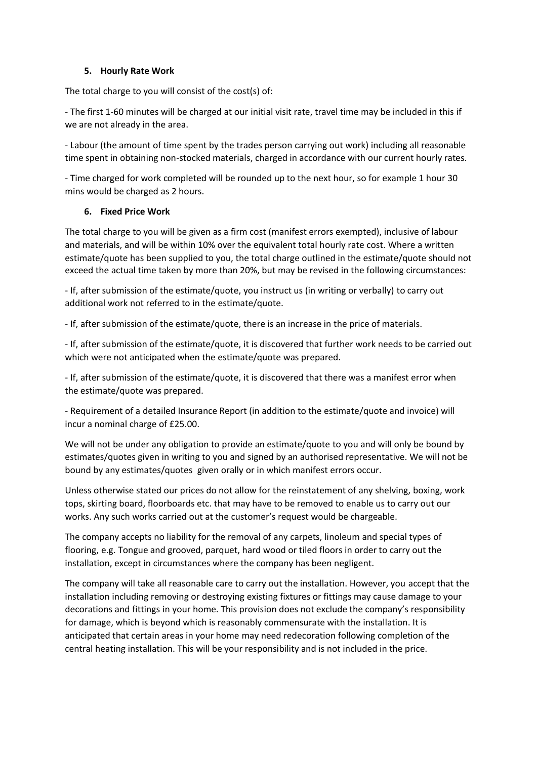### **5. Hourly Rate Work**

The total charge to you will consist of the cost(s) of:

- The first 1-60 minutes will be charged at our initial visit rate, travel time may be included in this if we are not already in the area.

- Labour (the amount of time spent by the trades person carrying out work) including all reasonable time spent in obtaining non-stocked materials, charged in accordance with our current hourly rates.

- Time charged for work completed will be rounded up to the next hour, so for example 1 hour 30 mins would be charged as 2 hours.

#### **6. Fixed Price Work**

The total charge to you will be given as a firm cost (manifest errors exempted), inclusive of labour and materials, and will be within 10% over the equivalent total hourly rate cost. Where a written estimate/quote has been supplied to you, the total charge outlined in the estimate/quote should not exceed the actual time taken by more than 20%, but may be revised in the following circumstances:

- If, after submission of the estimate/quote, you instruct us (in writing or verbally) to carry out additional work not referred to in the estimate/quote.

- If, after submission of the estimate/quote, there is an increase in the price of materials.

- If, after submission of the estimate/quote, it is discovered that further work needs to be carried out which were not anticipated when the estimate/quote was prepared.

- If, after submission of the estimate/quote, it is discovered that there was a manifest error when the estimate/quote was prepared.

- Requirement of a detailed Insurance Report (in addition to the estimate/quote and invoice) will incur a nominal charge of £25.00.

We will not be under any obligation to provide an estimate/quote to you and will only be bound by estimates/quotes given in writing to you and signed by an authorised representative. We will not be bound by any estimates/quotes given orally or in which manifest errors occur.

Unless otherwise stated our prices do not allow for the reinstatement of any shelving, boxing, work tops, skirting board, floorboards etc. that may have to be removed to enable us to carry out our works. Any such works carried out at the customer's request would be chargeable.

The company accepts no liability for the removal of any carpets, linoleum and special types of flooring, e.g. Tongue and grooved, parquet, hard wood or tiled floors in order to carry out the installation, except in circumstances where the company has been negligent.

The company will take all reasonable care to carry out the installation. However, you accept that the installation including removing or destroying existing fixtures or fittings may cause damage to your decorations and fittings in your home. This provision does not exclude the company's responsibility for damage, which is beyond which is reasonably commensurate with the installation. It is anticipated that certain areas in your home may need redecoration following completion of the central heating installation. This will be your responsibility and is not included in the price.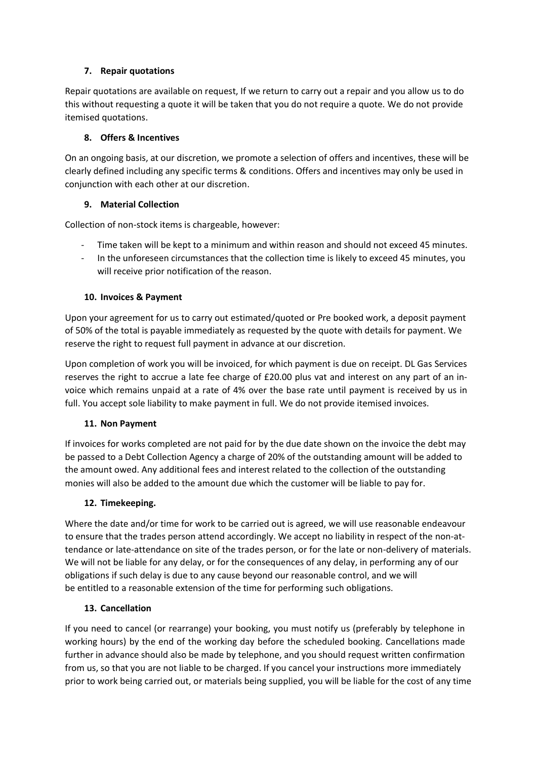# **7. Repair quotations**

Repair quotations are available on request, If we return to carry out a repair and you allow us to do this without requesting a quote it will be taken that you do not require a quote. We do not provide itemised quotations.

# **8. Offers & Incentives**

On an ongoing basis, at our discretion, we promote a selection of offers and incentives, these will be clearly defined including any specific terms & conditions. Offers and incentives may only be used in conjunction with each other at our discretion.

# **9. Material Collection**

Collection of non-stock items is chargeable, however:

- Time taken will be kept to a minimum and within reason and should not exceed 45 minutes.
- In the unforeseen circumstances that the collection time is likely to exceed 45 minutes, you will receive prior notification of the reason.

# **10. Invoices & Payment**

Upon your agreement for us to carry out estimated/quoted or Pre booked work, a deposit payment of 50% of the total is payable immediately as requested by the quote with details for payment. We reserve the right to request full payment in advance at our discretion.

Upon completion of work you will be invoiced, for which payment is due on receipt. DL Gas Services reserves the right to accrue a late fee charge of £20.00 plus vat and interest on any part of an invoice which remains unpaid at a rate of 4% over the base rate until payment is received by us in full. You accept sole liability to make payment in full. We do not provide itemised invoices.

### **11. Non Payment**

If invoices for works completed are not paid for by the due date shown on the invoice the debt may be passed to a Debt Collection Agency a charge of 20% of the outstanding amount will be added to the amount owed. Any additional fees and interest related to the collection of the outstanding monies will also be added to the amount due which the customer will be liable to pay for.

### **12. Timekeeping.**

Where the date and/or time for work to be carried out is agreed, we will use reasonable endeavour to ensure that the trades person attend accordingly. We accept no liability in respect of the non-attendance or late-attendance on site of the trades person, or for the late or non-delivery of materials. We will not be liable for any delay, or for the consequences of any delay, in performing any of our obligations if such delay is due to any cause beyond our reasonable control, and we will be entitled to a reasonable extension of the time for performing such obligations.

### **13. Cancellation**

If you need to cancel (or rearrange) your booking, you must notify us (preferably by telephone in working hours) by the end of the working day before the scheduled booking. Cancellations made further in advance should also be made by telephone, and you should request written confirmation from us, so that you are not liable to be charged. If you cancel your instructions more immediately prior to work being carried out, or materials being supplied, you will be liable for the cost of any time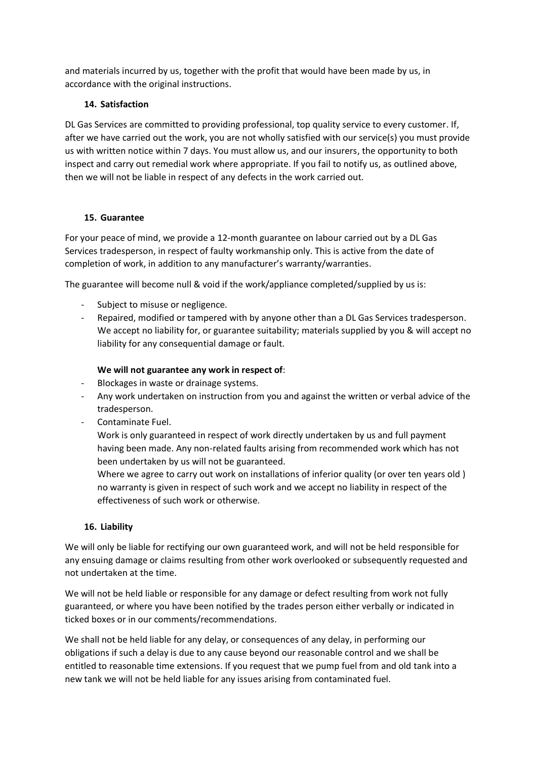and materials incurred by us, together with the profit that would have been made by us, in accordance with the original instructions.

### **14. Satisfaction**

DL Gas Services are committed to providing professional, top quality service to every customer. If, after we have carried out the work, you are not wholly satisfied with our service(s) you must provide us with written notice within 7 days. You must allow us, and our insurers, the opportunity to both inspect and carry out remedial work where appropriate. If you fail to notify us, as outlined above, then we will not be liable in respect of any defects in the work carried out.

#### **15. Guarantee**

For your peace of mind, we provide a 12-month guarantee on labour carried out by a DL Gas Services tradesperson, in respect of faulty workmanship only. This is active from the date of completion of work, in addition to any manufacturer's warranty/warranties.

The guarantee will become null & void if the work/appliance completed/supplied by us is:

- Subject to misuse or negligence.
- Repaired, modified or tampered with by anyone other than a DL Gas Services tradesperson. We accept no liability for, or guarantee suitability; materials supplied by you & will accept no liability for any consequential damage or fault.

### **We will not guarantee any work in respect of**:

- Blockages in waste or drainage systems.
- Any work undertaken on instruction from you and against the written or verbal advice of the tradesperson.
- Contaminate Fuel.

Work is only guaranteed in respect of work directly undertaken by us and full payment having been made. Any non-related faults arising from recommended work which has not been undertaken by us will not be guaranteed.

Where we agree to carry out work on installations of inferior quality (or over ten years old ) no warranty is given in respect of such work and we accept no liability in respect of the effectiveness of such work or otherwise.

### **16. Liability**

We will only be liable for rectifying our own guaranteed work, and will not be held responsible for any ensuing damage or claims resulting from other work overlooked or subsequently requested and not undertaken at the time.

We will not be held liable or responsible for any damage or defect resulting from work not fully guaranteed, or where you have been notified by the trades person either verbally or indicated in ticked boxes or in our comments/recommendations.

We shall not be held liable for any delay, or consequences of any delay, in performing our obligations if such a delay is due to any cause beyond our reasonable control and we shall be entitled to reasonable time extensions. If you request that we pump fuel from and old tank into a new tank we will not be held liable for any issues arising from contaminated fuel.